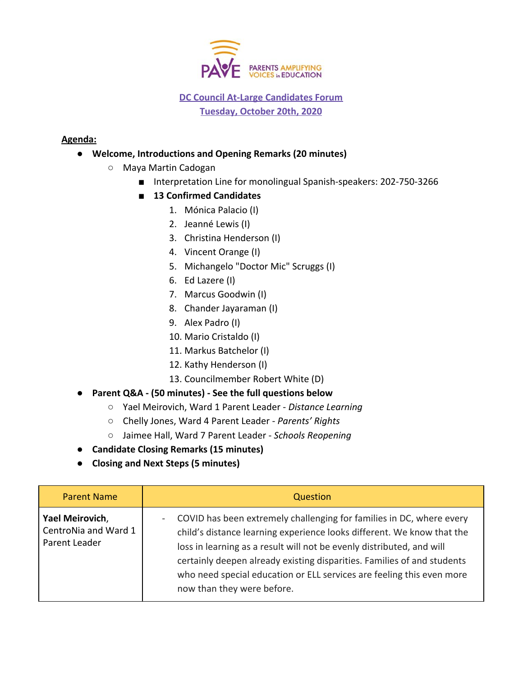

## **DC Council At-Large Candidates Forum Tuesday, October 20th, 2020**

## **Agenda:**

- **Welcome, Introductions and Opening Remarks (20 minutes)**
	- **○** Maya Martin Cadogan
		- Interpretation Line for monolingual Spanish-speakers: 202-750-3266
		- **13 Confirmed Candidates** 
			- 1. Mónica Palacio (I)
			- 2. Jeanné Lewis (I)
			- 3. Christina Henderson (I)
			- 4. Vincent Orange (I)
			- 5. Michangelo "Doctor Mic" Scruggs (I)
			- 6. Ed Lazere (I)
			- 7. Marcus Goodwin (I)
			- 8. Chander Jayaraman (I)
			- 9. Alex Padro (I)
			- 10. Mario Cristaldo (I)
			- 11. Markus Batchelor (I)
			- 12. Kathy Henderson (I)
			- 13. Councilmember Robert White (D)
- **Parent Q&A (50 minutes) See the full questions below**
	- Yael Meirovich, Ward 1 Parent Leader *Distance Learning*
	- Chelly Jones, Ward 4 Parent Leader *Parents' Rights*
	- Jaimee Hall, Ward 7 Parent Leader *Schools Reopening*
- **Candidate Closing Remarks (15 minutes)**
- **● Closing and Next Steps (5 minutes)**

| <b>Parent Name</b>                                       | Question                                                                                                                                                                                                                                                                                                                                                                                                            |
|----------------------------------------------------------|---------------------------------------------------------------------------------------------------------------------------------------------------------------------------------------------------------------------------------------------------------------------------------------------------------------------------------------------------------------------------------------------------------------------|
| Yael Meirovich,<br>CentroNia and Ward 1<br>Parent Leader | COVID has been extremely challenging for families in DC, where every<br>$\sim$<br>child's distance learning experience looks different. We know that the<br>loss in learning as a result will not be evenly distributed, and will<br>certainly deepen already existing disparities. Families of and students<br>who need special education or ELL services are feeling this even more<br>now than they were before. |